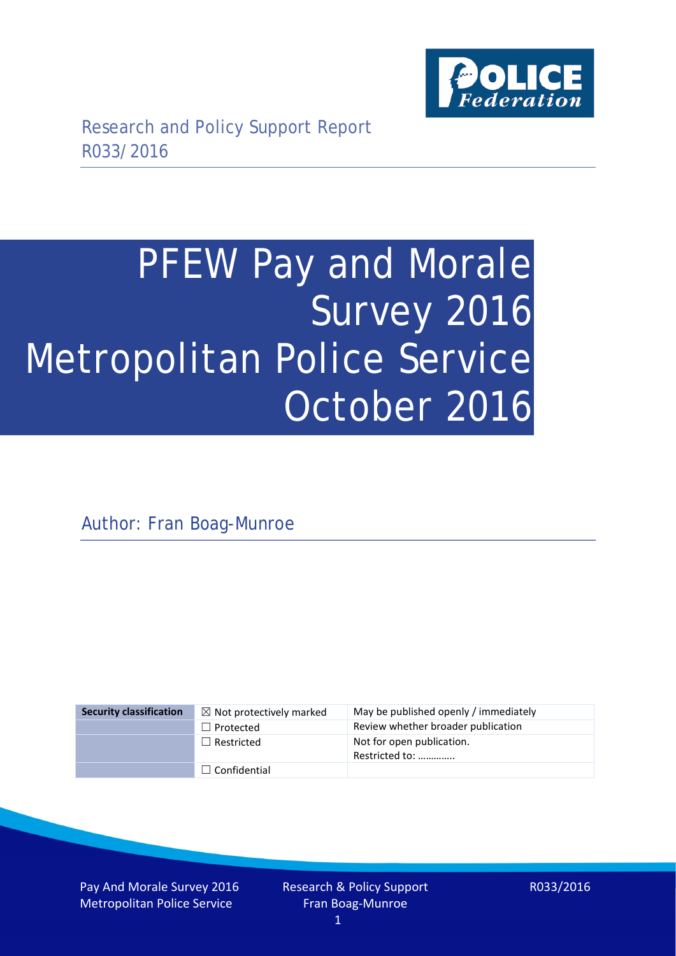

# PFEW Pay and Morale Survey 2016 Metropolitan Police Service October 2016

Author: Fran Boag-Munroe

| <b>Security classification</b> | $\boxtimes$ Not protectively marked | May be published openly / immediately       |
|--------------------------------|-------------------------------------|---------------------------------------------|
|                                | $\Box$ Protected                    | Review whether broader publication          |
|                                | $\Box$ Restricted                   | Not for open publication.<br>Restricted to: |
|                                | $\Box$ Confidential                 |                                             |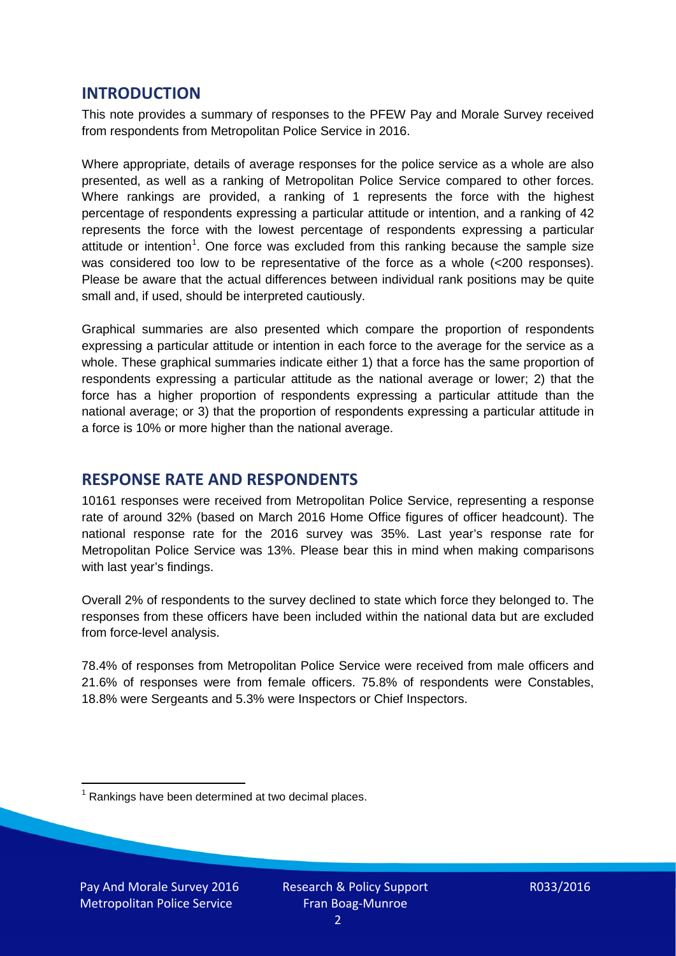# **INTRODUCTION**

This note provides a summary of responses to the PFEW Pay and Morale Survey received from respondents from Metropolitan Police Service in 2016.

Where appropriate, details of average responses for the police service as a whole are also presented, as well as a ranking of Metropolitan Police Service compared to other forces. Where rankings are provided, a ranking of 1 represents the force with the highest percentage of respondents expressing a particular attitude or intention, and a ranking of 42 represents the force with the lowest percentage of respondents expressing a particular attitude or intention<sup>[1](#page-1-0)</sup>. One force was excluded from this ranking because the sample size was considered too low to be representative of the force as a whole (<200 responses). Please be aware that the actual differences between individual rank positions may be quite small and, if used, should be interpreted cautiously.

Graphical summaries are also presented which compare the proportion of respondents expressing a particular attitude or intention in each force to the average for the service as a whole. These graphical summaries indicate either 1) that a force has the same proportion of respondents expressing a particular attitude as the national average or lower; 2) that the force has a higher proportion of respondents expressing a particular attitude than the national average; or 3) that the proportion of respondents expressing a particular attitude in a force is 10% or more higher than the national average.

# **RESPONSE RATE AND RESPONDENTS**

10161 responses were received from Metropolitan Police Service, representing a response rate of around 32% (based on March 2016 Home Office figures of officer headcount). The national response rate for the 2016 survey was 35%. Last year's response rate for Metropolitan Police Service was 13%. Please bear this in mind when making comparisons with last year's findings.

Overall 2% of respondents to the survey declined to state which force they belonged to. The responses from these officers have been included within the national data but are excluded from force-level analysis.

78.4% of responses from Metropolitan Police Service were received from male officers and 21.6% of responses were from female officers. 75.8% of respondents were Constables, 18.8% were Sergeants and 5.3% were Inspectors or Chief Inspectors.

<span id="page-1-0"></span> $1$  Rankings have been determined at two decimal places.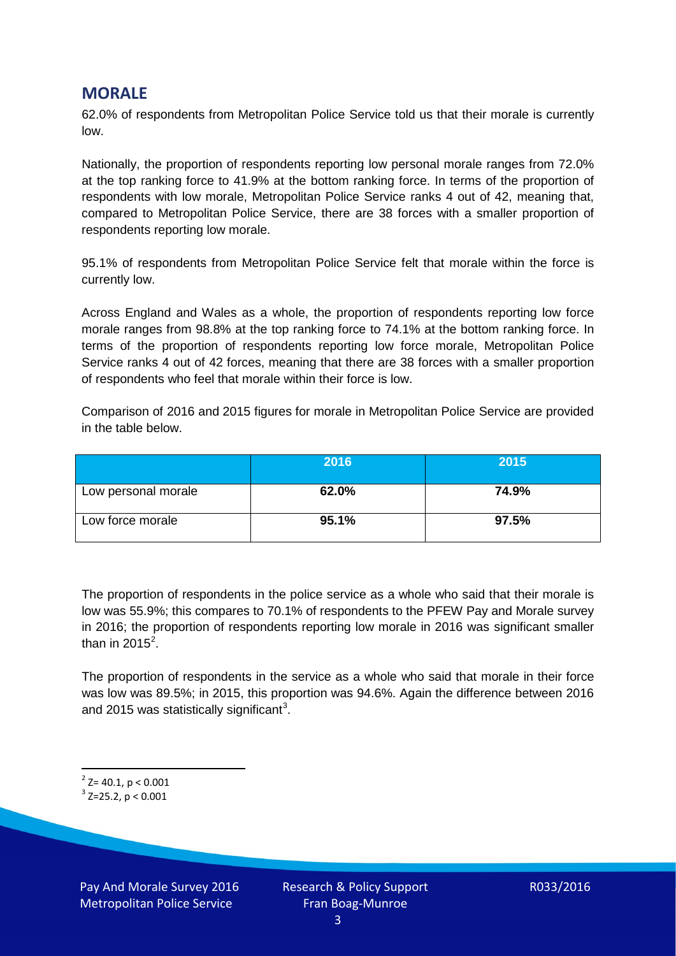# **MORALE**

62.0% of respondents from Metropolitan Police Service told us that their morale is currently low.

Nationally, the proportion of respondents reporting low personal morale ranges from 72.0% at the top ranking force to 41.9% at the bottom ranking force. In terms of the proportion of respondents with low morale, Metropolitan Police Service ranks 4 out of 42, meaning that, compared to Metropolitan Police Service, there are 38 forces with a smaller proportion of respondents reporting low morale.

95.1% of respondents from Metropolitan Police Service felt that morale within the force is currently low.

Across England and Wales as a whole, the proportion of respondents reporting low force morale ranges from 98.8% at the top ranking force to 74.1% at the bottom ranking force. In terms of the proportion of respondents reporting low force morale, Metropolitan Police Service ranks 4 out of 42 forces, meaning that there are 38 forces with a smaller proportion of respondents who feel that morale within their force is low.

Comparison of 2016 and 2015 figures for morale in Metropolitan Police Service are provided in the table below.

|                     | 2016  | 2015  |
|---------------------|-------|-------|
| Low personal morale | 62.0% | 74.9% |
| Low force morale    | 95.1% | 97.5% |

The proportion of respondents in the police service as a whole who said that their morale is low was 55.9%; this compares to 70.1% of respondents to the PFEW Pay and Morale survey in 2016; the proportion of respondents reporting low morale in 2016 was significant smaller than in [2](#page-2-0)015<sup>2</sup>.

The proportion of respondents in the service as a whole who said that morale in their force was low was 89.5%; in 2015, this proportion was 94.6%. Again the difference between 2016 and 2015 was statistically significant<sup>[3](#page-2-1)</sup>.

<span id="page-2-0"></span> $2$ <sup>2</sup> Z= 40.1, p < 0.001

<span id="page-2-1"></span> $3$  Z=25.2, p < 0.001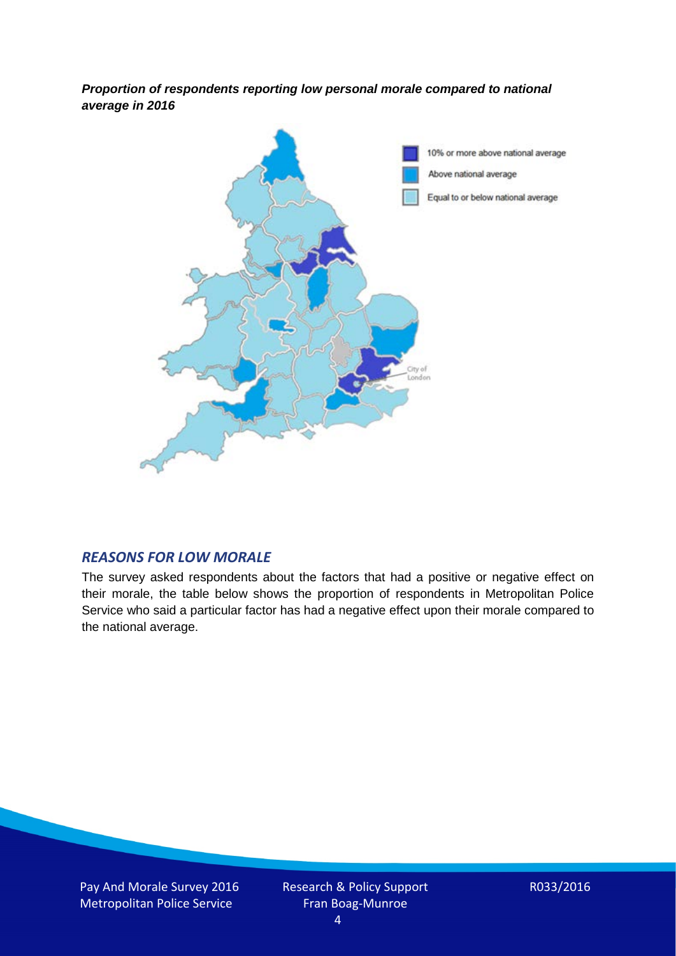*Proportion of respondents reporting low personal morale compared to national average in 2016*



#### *REASONS FOR LOW MORALE*

The survey asked respondents about the factors that had a positive or negative effect on their morale, the table below shows the proportion of respondents in Metropolitan Police Service who said a particular factor has had a negative effect upon their morale compared to the national average.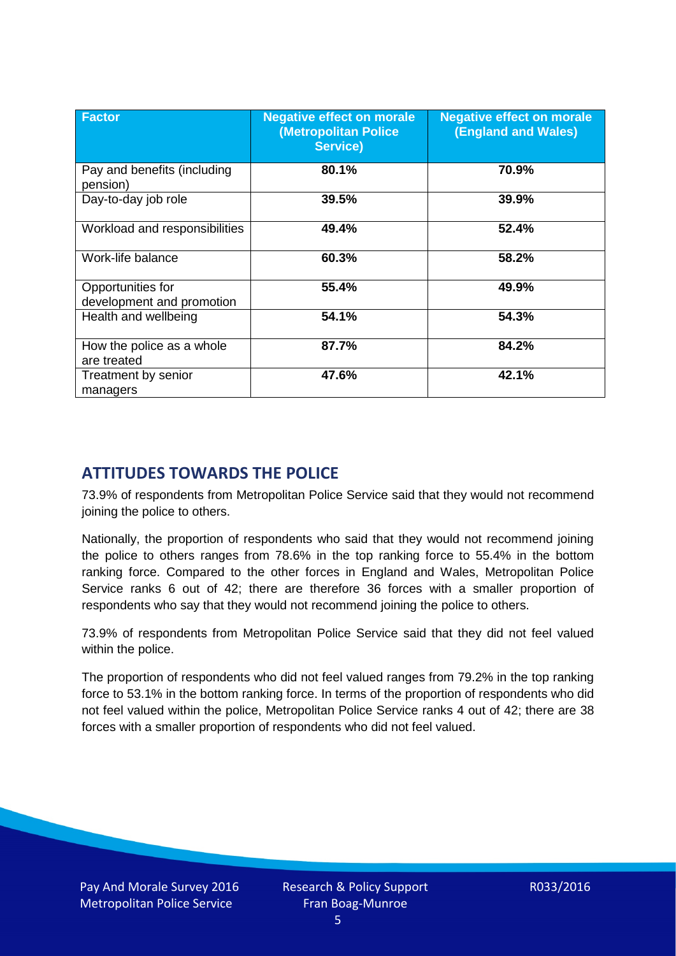| <b>Factor</b>                                  | <b>Negative effect on morale</b><br>(Metropolitan Police<br><b>Service)</b> | <b>Negative effect on morale</b><br><b>(England and Wales)</b> |
|------------------------------------------------|-----------------------------------------------------------------------------|----------------------------------------------------------------|
| Pay and benefits (including<br>pension)        | 80.1%                                                                       | 70.9%                                                          |
| Day-to-day job role                            | 39.5%                                                                       | 39.9%                                                          |
| Workload and responsibilities                  | 49.4%                                                                       | 52.4%                                                          |
| Work-life balance                              | 60.3%                                                                       | 58.2%                                                          |
| Opportunities for<br>development and promotion | 55.4%                                                                       | 49.9%                                                          |
| Health and wellbeing                           | 54.1%                                                                       | 54.3%                                                          |
| How the police as a whole<br>are treated       | 87.7%                                                                       | 84.2%                                                          |
| Treatment by senior<br>managers                | 47.6%                                                                       | 42.1%                                                          |

# **ATTITUDES TOWARDS THE POLICE**

73.9% of respondents from Metropolitan Police Service said that they would not recommend joining the police to others.

Nationally, the proportion of respondents who said that they would not recommend joining the police to others ranges from 78.6% in the top ranking force to 55.4% in the bottom ranking force. Compared to the other forces in England and Wales, Metropolitan Police Service ranks 6 out of 42; there are therefore 36 forces with a smaller proportion of respondents who say that they would not recommend joining the police to others.

73.9% of respondents from Metropolitan Police Service said that they did not feel valued within the police.

The proportion of respondents who did not feel valued ranges from 79.2% in the top ranking force to 53.1% in the bottom ranking force. In terms of the proportion of respondents who did not feel valued within the police, Metropolitan Police Service ranks 4 out of 42; there are 38 forces with a smaller proportion of respondents who did not feel valued.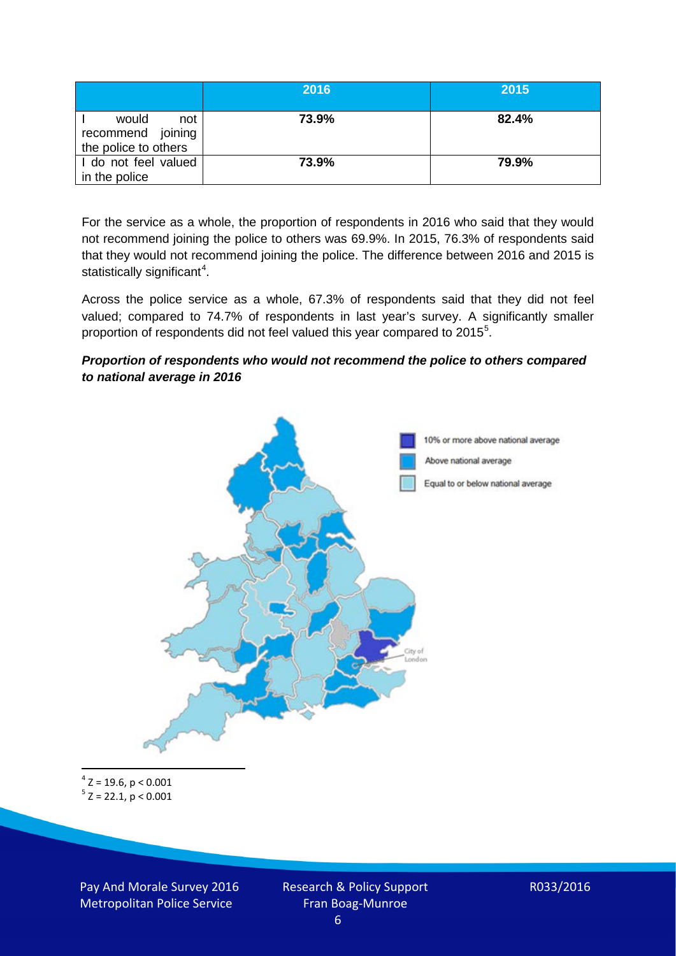|                                                           | 2016  | 2015  |
|-----------------------------------------------------------|-------|-------|
| would<br>not<br>recommend joining<br>the police to others | 73.9% | 82.4% |
| I do not feel valued<br>in the police                     | 73.9% | 79.9% |

For the service as a whole, the proportion of respondents in 2016 who said that they would not recommend joining the police to others was 69.9%. In 2015, 76.3% of respondents said that they would not recommend joining the police. The difference between 2016 and 2015 is statistically significant<sup>[4](#page-5-0)</sup>.

Across the police service as a whole, 67.3% of respondents said that they did not feel valued; compared to 74.7% of respondents in last year's survey. A significantly smaller proportion of respondents did not feel valued this year compared to 201[5](#page-5-1)<sup>5</sup>.

#### *Proportion of respondents who would not recommend the police to others compared to national average in 2016*



<span id="page-5-1"></span><span id="page-5-0"></span> $4$  Z = 19.6, p < 0.001  $5$  Z = 22.1, p < 0.001

Pay And Morale Survey 2016 Metropolitan Police Service

Research & Policy Support Fran Boag-Munroe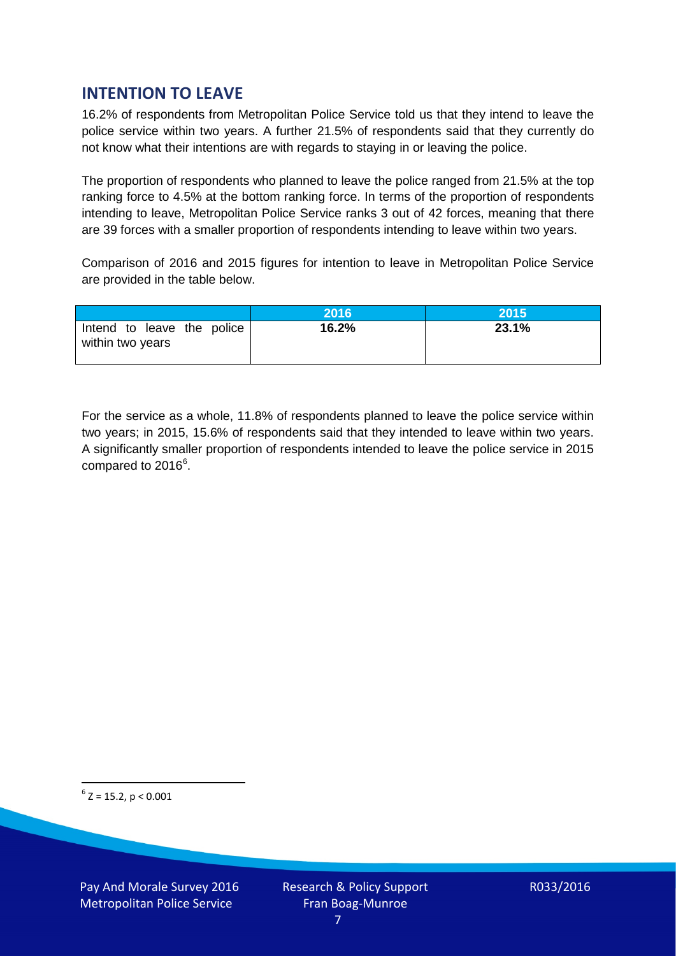# **INTENTION TO LEAVE**

16.2% of respondents from Metropolitan Police Service told us that they intend to leave the police service within two years. A further 21.5% of respondents said that they currently do not know what their intentions are with regards to staying in or leaving the police.

The proportion of respondents who planned to leave the police ranged from 21.5% at the top ranking force to 4.5% at the bottom ranking force. In terms of the proportion of respondents intending to leave, Metropolitan Police Service ranks 3 out of 42 forces, meaning that there are 39 forces with a smaller proportion of respondents intending to leave within two years.

Comparison of 2016 and 2015 figures for intention to leave in Metropolitan Police Service are provided in the table below.

|                                                | 2016  | 2015  |
|------------------------------------------------|-------|-------|
| Intend to leave the police<br>within two years | 16.2% | 23.1% |

For the service as a whole, 11.8% of respondents planned to leave the police service within two years; in 2015, 15.6% of respondents said that they intended to leave within two years. A significantly smaller proportion of respondents intended to leave the police service in 2015 compared to 201[6](#page-6-0)<sup>6</sup>.

<span id="page-6-0"></span> $6$  Z = 15.2, p < 0.001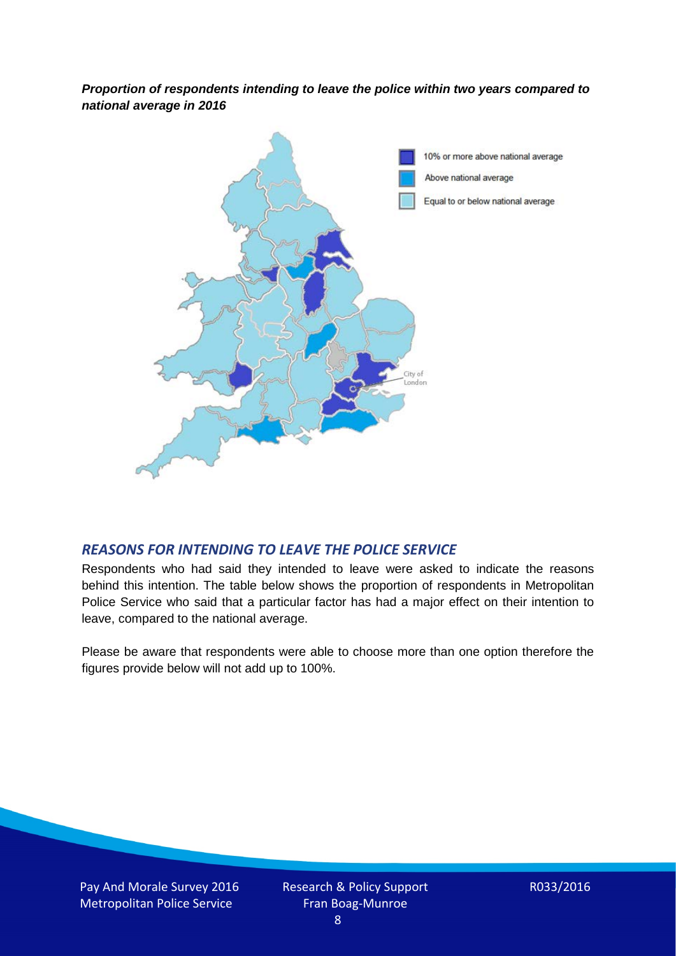*Proportion of respondents intending to leave the police within two years compared to national average in 2016*



### *REASONS FOR INTENDING TO LEAVE THE POLICE SERVICE*

Respondents who had said they intended to leave were asked to indicate the reasons behind this intention. The table below shows the proportion of respondents in Metropolitan Police Service who said that a particular factor has had a major effect on their intention to leave, compared to the national average.

Please be aware that respondents were able to choose more than one option therefore the figures provide below will not add up to 100%.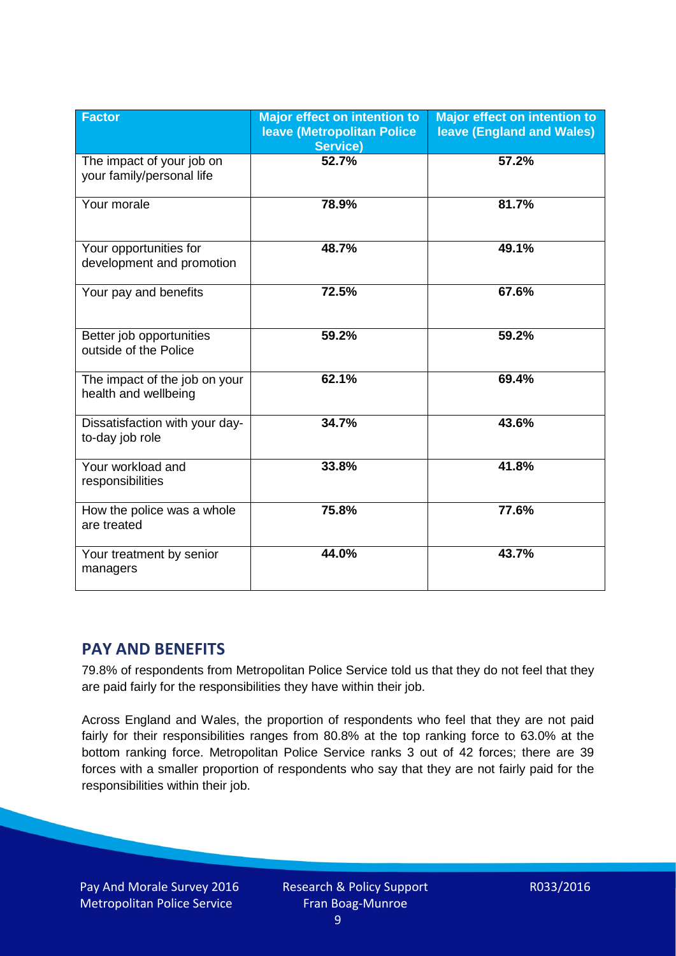| <b>Factor</b>                                          | <b>Major effect on intention to</b><br><b>leave (Metropolitan Police)</b><br><b>Service)</b> | <b>Major effect on intention to</b><br><b>leave (England and Wales)</b> |
|--------------------------------------------------------|----------------------------------------------------------------------------------------------|-------------------------------------------------------------------------|
| The impact of your job on<br>your family/personal life | 52.7%                                                                                        | 57.2%                                                                   |
| Your morale                                            | 78.9%                                                                                        | 81.7%                                                                   |
| Your opportunities for<br>development and promotion    | 48.7%                                                                                        | 49.1%                                                                   |
| Your pay and benefits                                  | 72.5%                                                                                        | 67.6%                                                                   |
| Better job opportunities<br>outside of the Police      | 59.2%                                                                                        | 59.2%                                                                   |
| The impact of the job on your<br>health and wellbeing  | 62.1%                                                                                        | 69.4%                                                                   |
| Dissatisfaction with your day-<br>to-day job role      | 34.7%                                                                                        | 43.6%                                                                   |
| Your workload and<br>responsibilities                  | 33.8%                                                                                        | 41.8%                                                                   |
| How the police was a whole<br>are treated              | 75.8%                                                                                        | 77.6%                                                                   |
| Your treatment by senior<br>managers                   | 44.0%                                                                                        | 43.7%                                                                   |

# **PAY AND BENEFITS**

79.8% of respondents from Metropolitan Police Service told us that they do not feel that they are paid fairly for the responsibilities they have within their job.

Across England and Wales, the proportion of respondents who feel that they are not paid fairly for their responsibilities ranges from 80.8% at the top ranking force to 63.0% at the bottom ranking force. Metropolitan Police Service ranks 3 out of 42 forces; there are 39 forces with a smaller proportion of respondents who say that they are not fairly paid for the responsibilities within their job.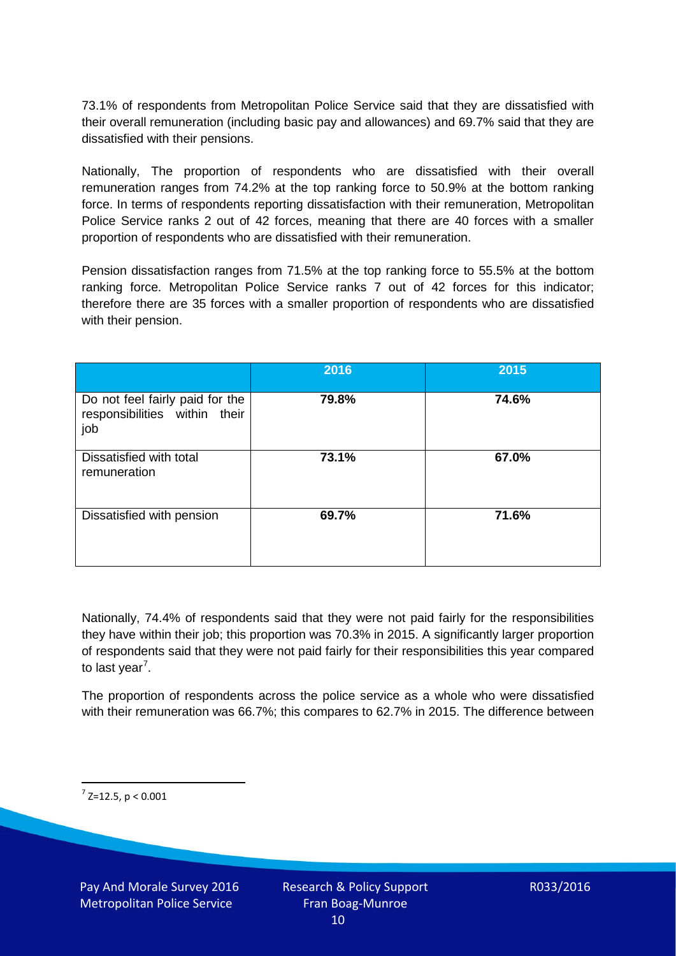73.1% of respondents from Metropolitan Police Service said that they are dissatisfied with their overall remuneration (including basic pay and allowances) and 69.7% said that they are dissatisfied with their pensions.

Nationally, The proportion of respondents who are dissatisfied with their overall remuneration ranges from 74.2% at the top ranking force to 50.9% at the bottom ranking force. In terms of respondents reporting dissatisfaction with their remuneration, Metropolitan Police Service ranks 2 out of 42 forces, meaning that there are 40 forces with a smaller proportion of respondents who are dissatisfied with their remuneration.

Pension dissatisfaction ranges from 71.5% at the top ranking force to 55.5% at the bottom ranking force. Metropolitan Police Service ranks 7 out of 42 forces for this indicator; therefore there are 35 forces with a smaller proportion of respondents who are dissatisfied with their pension.

|                                                                         | 2016  | 2015  |
|-------------------------------------------------------------------------|-------|-------|
| Do not feel fairly paid for the<br>responsibilities within their<br>job | 79.8% | 74.6% |
| Dissatisfied with total<br>remuneration                                 | 73.1% | 67.0% |
| Dissatisfied with pension                                               | 69.7% | 71.6% |

Nationally, 74.4% of respondents said that they were not paid fairly for the responsibilities they have within their job; this proportion was 70.3% in 2015. A significantly larger proportion of respondents said that they were not paid fairly for their responsibilities this year compared to last year<sup>[7](#page-9-0)</sup>.

The proportion of respondents across the police service as a whole who were dissatisfied with their remuneration was 66.7%; this compares to 62.7% in 2015. The difference between

<span id="page-9-0"></span> $7$  Z=12.5, p < 0.001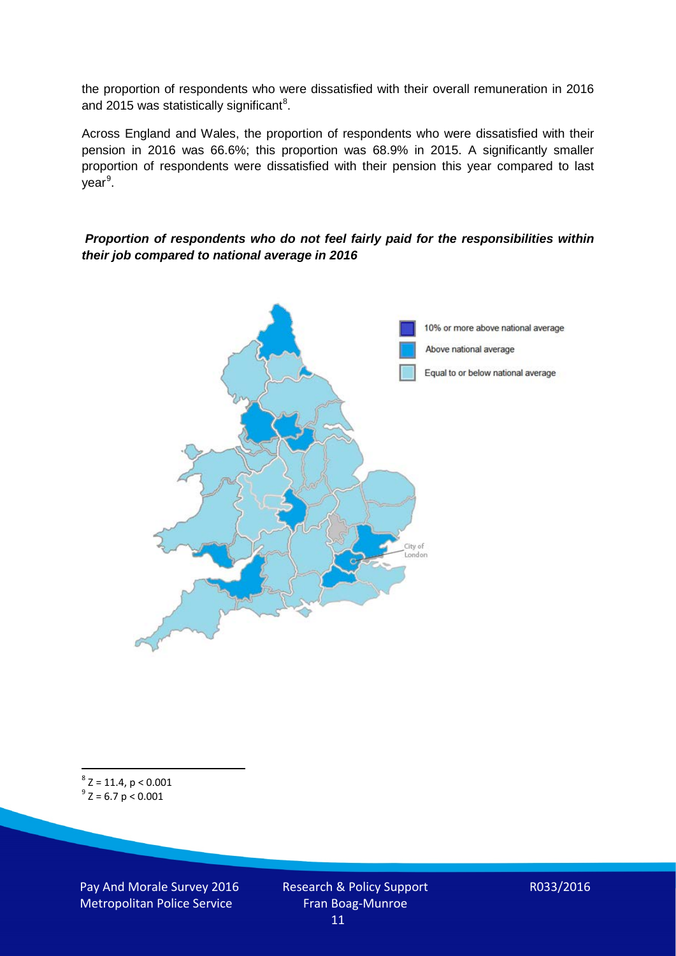the proportion of respondents who were dissatisfied with their overall remuneration in 2016 and 2015 was statistically significant<sup>[8](#page-10-0)</sup>.

Across England and Wales, the proportion of respondents who were dissatisfied with their pension in 2016 was 66.6%; this proportion was 68.9% in 2015. A significantly smaller proportion of respondents were dissatisfied with their pension this year compared to last year<sup>[9](#page-10-1)</sup>.

#### *Proportion of respondents who do not feel fairly paid for the responsibilities within their job compared to national average in 2016*



<span id="page-10-1"></span><span id="page-10-0"></span> $8$  Z = 11.4, p < 0.001  $9^{\circ}$  Z = 6.7 p < 0.001

Pay And Morale Survey 2016 Metropolitan Police Service

Research & Policy Support Fran Boag-Munroe 11